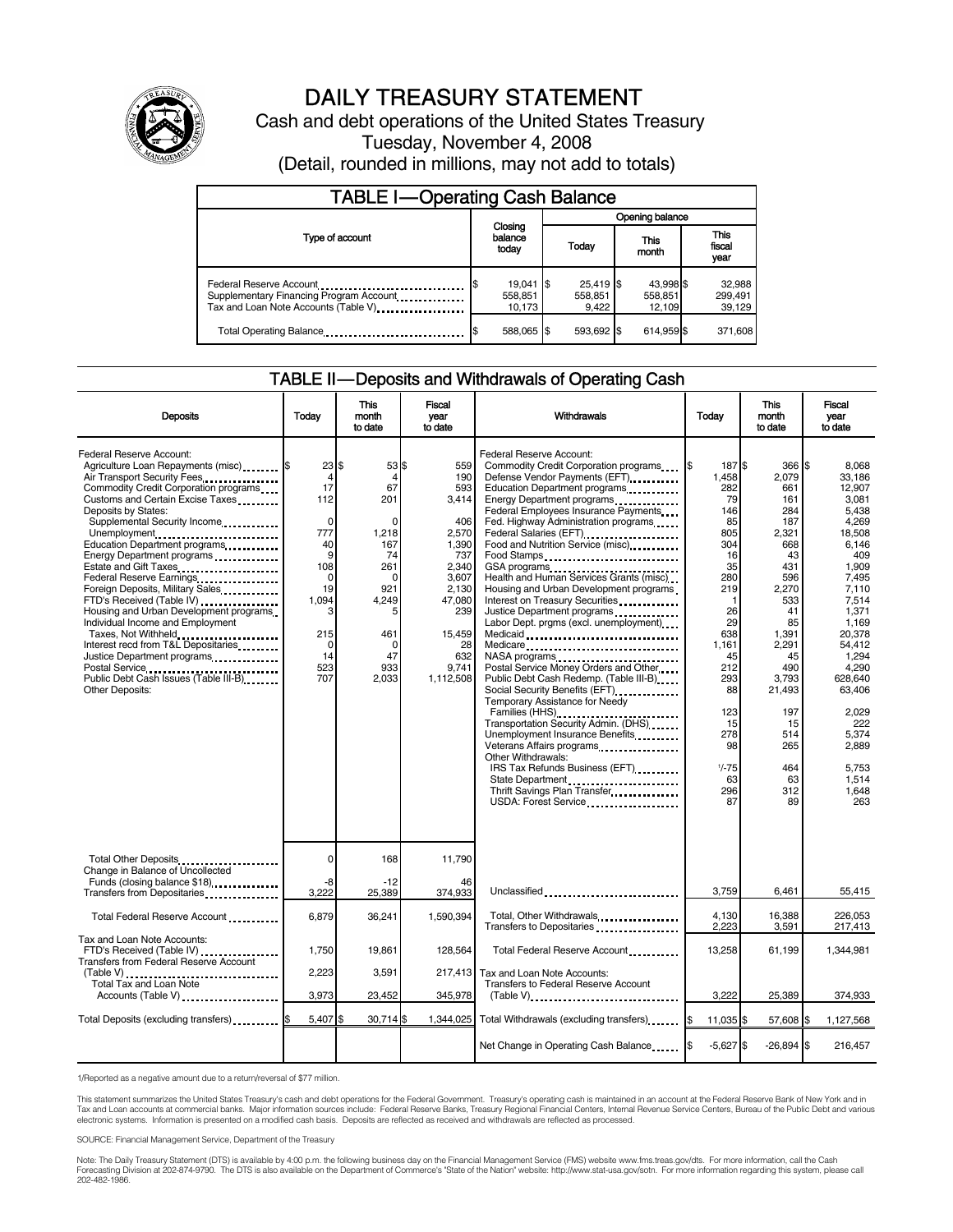

# DAILY TREASURY STATEMENT

Cash and debt operations of the United States Treasury Tuesday, November 4, 2008 (Detail, rounded in millions, may not add to totals)

| <b>TABLE I-Operating Cash Balance</b>                                                                       |                                  |                                 |                                |                             |  |  |
|-------------------------------------------------------------------------------------------------------------|----------------------------------|---------------------------------|--------------------------------|-----------------------------|--|--|
|                                                                                                             |                                  | Opening balance                 |                                |                             |  |  |
| Type of account                                                                                             | Closing<br>balance<br>todav      | Today                           | This<br>month                  | This<br>fiscal<br>year      |  |  |
| Federal Reserve Account<br>Supplementary Financing Program Account<br>Tax and Loan Note Accounts (Table V). | $19,041$ \$<br>558,851<br>10.173 | $25,419$ \$<br>558,851<br>9.422 | 43,998 \$<br>558,851<br>12.109 | 32,988<br>299,491<br>39,129 |  |  |
| Total Operating Balance                                                                                     | 588.065 \$                       | 593.692 \$                      | 614.959 \$                     | 371,608                     |  |  |

#### TABLE II — Deposits and Withdrawals of Operating Cash

| <b>Deposits</b>                                                                                                                                                                                                                                                                                                                                                                                                                                                                                                                                                                                                                                                                                | Todav                                                                                                                         | This<br>month<br>to date                                                                                                                         | <b>Fiscal</b><br>vear<br>to date                                                                                                                    | Withdrawals                                                                                                                                                                                                                                                                                                                                                                                                                                                                                                                                                                                                                                                                                                                                                                                                                                                                                                                                                                           | Today                                                                                                                                                                                                                 | <b>This</b><br>month<br>to date                                                                                                                                                                                    | Fiscal<br>vear<br>to date                                                                                                                                                                                                                                           |
|------------------------------------------------------------------------------------------------------------------------------------------------------------------------------------------------------------------------------------------------------------------------------------------------------------------------------------------------------------------------------------------------------------------------------------------------------------------------------------------------------------------------------------------------------------------------------------------------------------------------------------------------------------------------------------------------|-------------------------------------------------------------------------------------------------------------------------------|--------------------------------------------------------------------------------------------------------------------------------------------------|-----------------------------------------------------------------------------------------------------------------------------------------------------|---------------------------------------------------------------------------------------------------------------------------------------------------------------------------------------------------------------------------------------------------------------------------------------------------------------------------------------------------------------------------------------------------------------------------------------------------------------------------------------------------------------------------------------------------------------------------------------------------------------------------------------------------------------------------------------------------------------------------------------------------------------------------------------------------------------------------------------------------------------------------------------------------------------------------------------------------------------------------------------|-----------------------------------------------------------------------------------------------------------------------------------------------------------------------------------------------------------------------|--------------------------------------------------------------------------------------------------------------------------------------------------------------------------------------------------------------------|---------------------------------------------------------------------------------------------------------------------------------------------------------------------------------------------------------------------------------------------------------------------|
| <b>Federal Reserve Account:</b><br>Agriculture Loan Repayments (misc) \$<br>Air Transport Security Fees<br>Commodity Credit Corporation programs<br>Customs and Certain Excise Taxes<br>Deposits by States:<br>Supplemental Security Income<br>Unemployment<br>Education Department programs<br>Energy Department programs<br>Estate and Gift Taxes<br>Federal Reserve Earnings<br>Foreign Deposits, Military Sales<br>FTD's Received (Table IV)<br>Housing and Urban Development programs<br>Individual Income and Employment<br>Taxes, Not Withheld<br>Interest recd from T&L Depositaries<br>Justice Department programs<br>Public Debt Cash Issues (Table III-B)<br><b>Other Deposits:</b> | 23S<br>4<br>17<br>112<br>$\mathbf 0$<br>777<br>40<br>9<br>108<br>0<br>19<br>1.094<br>3<br>215<br>$\Omega$<br>14<br>523<br>707 | 53 \$<br>4<br>67<br>201<br>$\Omega$<br>1,218<br>167<br>74<br>261<br>$\mathbf 0$<br>921<br>4,249<br>5<br>461<br>$\mathbf 0$<br>47<br>933<br>2,033 | 559<br>190<br>593<br>3.414<br>406<br>2,570<br>1,390<br>737<br>2,340<br>3,607<br>2.130<br>47.080<br>239<br>15,459<br>28<br>632<br>9,741<br>1,112,508 | Federal Reserve Account:<br>Commodity Credit Corporation programs<br>Defense Vendor Payments (EFT)<br>Education Department programs<br>Federal Employees Insurance Payments<br>Fed. Highway Administration programs<br>Federal Salaries (EFT)<br>Food and Nutrition Service (misc).<br>Food Stamps<br>GSA programs<br>Health and Human Services Grants (misc)<br>Housing and Urban Development programs<br>Interest on Treasury Securities<br>Justice Department programs<br><br>Labor Dept. prgms (excl. unemployment)<br>Medicaid<br>Medicare<br>NASA programs<br>Postal Service Money Orders and Other<br>Public Debt Cash Redemp. (Table III-B)<br>Social Security Benefits (EFT)<br>Temporary Assistance for Needy<br>Families (HHS)<br>Transportation Security Admin. (DHS)<br>Unemployment Insurance Benefits<br>Veterans Affairs programs<br>Other Withdrawals:<br>IRS Tax Refunds Business (EFT)<br>State Department<br>Thrift Savings Plan Transfer<br>USDA: Forest Service | l\$<br>187 \$<br>1.458<br>282<br>79<br>146<br>85<br>805<br>304<br>16<br>35<br>280<br>219<br>$\mathbf 1$<br>26<br>29<br>638<br>1.161<br>45<br>212<br>293<br>88<br>123<br>15<br>278<br>98<br>$1/-75$<br>63<br>296<br>87 | 366 \$<br>2,079<br>661<br>161<br>284<br>187<br>2,321<br>668<br>43<br>431<br>596<br>2,270<br>533<br>41<br>85<br>1,391<br>2,291<br>45<br>490<br>3,793<br>21,493<br>197<br>15<br>514<br>265<br>464<br>63<br>312<br>89 | 8.068<br>33.186<br>12,907<br>3.081<br>5.438<br>4,269<br>18,508<br>6.146<br>409<br>1,909<br>7,495<br>7.110<br>7.514<br>1,371<br>1,169<br>20,378<br>54.412<br>1,294<br>4,290<br>628.640<br>63,406<br>2,029<br>222<br>5.374<br>2,889<br>5,753<br>1.514<br>1,648<br>263 |
| Total Other Deposits<br>Change in Balance of Uncollected                                                                                                                                                                                                                                                                                                                                                                                                                                                                                                                                                                                                                                       | 0                                                                                                                             | 168                                                                                                                                              | 11,790                                                                                                                                              |                                                                                                                                                                                                                                                                                                                                                                                                                                                                                                                                                                                                                                                                                                                                                                                                                                                                                                                                                                                       |                                                                                                                                                                                                                       |                                                                                                                                                                                                                    |                                                                                                                                                                                                                                                                     |
| Funds (closing balance \$18)<br>Transfers from Depositaries                                                                                                                                                                                                                                                                                                                                                                                                                                                                                                                                                                                                                                    | -8<br>3.222                                                                                                                   | $-12$<br>25,389                                                                                                                                  | 46<br>374,933                                                                                                                                       | Unclassified                                                                                                                                                                                                                                                                                                                                                                                                                                                                                                                                                                                                                                                                                                                                                                                                                                                                                                                                                                          | 3,759                                                                                                                                                                                                                 | 6,461                                                                                                                                                                                                              | 55,415                                                                                                                                                                                                                                                              |
| Total Federal Reserve Account                                                                                                                                                                                                                                                                                                                                                                                                                                                                                                                                                                                                                                                                  | 6,879                                                                                                                         | 36,241                                                                                                                                           | 1.590.394                                                                                                                                           | Total, Other Withdrawals<br>Transfers to Depositaries                                                                                                                                                                                                                                                                                                                                                                                                                                                                                                                                                                                                                                                                                                                                                                                                                                                                                                                                 | 4.130<br>2,223                                                                                                                                                                                                        | 16,388<br>3,591                                                                                                                                                                                                    | 226.053<br>217,413                                                                                                                                                                                                                                                  |
| Tax and Loan Note Accounts:<br>FTD's Received (Table IV)<br>Transfers from Federal Reserve Account                                                                                                                                                                                                                                                                                                                                                                                                                                                                                                                                                                                             | 1.750                                                                                                                         | 19.861                                                                                                                                           | 128.564                                                                                                                                             | Total Federal Reserve Account                                                                                                                                                                                                                                                                                                                                                                                                                                                                                                                                                                                                                                                                                                                                                                                                                                                                                                                                                         | 13.258                                                                                                                                                                                                                | 61,199                                                                                                                                                                                                             | 1,344,981                                                                                                                                                                                                                                                           |
| Total Tax and Loan Note<br>Accounts (Table V)                                                                                                                                                                                                                                                                                                                                                                                                                                                                                                                                                                                                                                                  | 2.223<br>3,973                                                                                                                | 3.591<br>23,452                                                                                                                                  | 217.413<br>345,978                                                                                                                                  | Tax and Loan Note Accounts:<br>Transfers to Federal Reserve Account<br>$(Table V)$                                                                                                                                                                                                                                                                                                                                                                                                                                                                                                                                                                                                                                                                                                                                                                                                                                                                                                    | 3.222                                                                                                                                                                                                                 | 25,389                                                                                                                                                                                                             | 374,933                                                                                                                                                                                                                                                             |
| Total Deposits (excluding transfers) [1996]                                                                                                                                                                                                                                                                                                                                                                                                                                                                                                                                                                                                                                                    | 5,407 \$                                                                                                                      | 30,714 \$                                                                                                                                        | 1,344,025                                                                                                                                           | Total Withdrawals (excluding transfers) [\$                                                                                                                                                                                                                                                                                                                                                                                                                                                                                                                                                                                                                                                                                                                                                                                                                                                                                                                                           | 11.035 \$                                                                                                                                                                                                             | 57.608 \$                                                                                                                                                                                                          | 1,127,568                                                                                                                                                                                                                                                           |
|                                                                                                                                                                                                                                                                                                                                                                                                                                                                                                                                                                                                                                                                                                |                                                                                                                               |                                                                                                                                                  |                                                                                                                                                     | Net Change in Operating Cash Balance                                                                                                                                                                                                                                                                                                                                                                                                                                                                                                                                                                                                                                                                                                                                                                                                                                                                                                                                                  | $-5,627$ \$                                                                                                                                                                                                           | $-26,894$ \$                                                                                                                                                                                                       | 216,457                                                                                                                                                                                                                                                             |

1/Reported as a negative amount due to a return/reversal of \$77 million.

This statement summarizes the United States Treasury's cash and debt operations for the Federal Government. Treasury's operating cash is maintained in an account at the Federal Reserve Bank of New York and in<br>Tax and Loan

SOURCE: Financial Management Service, Department of the Treasury

Note: The Daily Treasury Statement (DTS) is available by 4:00 p.m. the following business day on the Financial Management Service (FMS) website www.fms.treas.gov/dts. For more information, call the Cash<br>Forecasting Divisio eas.gov/dts. F<br>For more infor